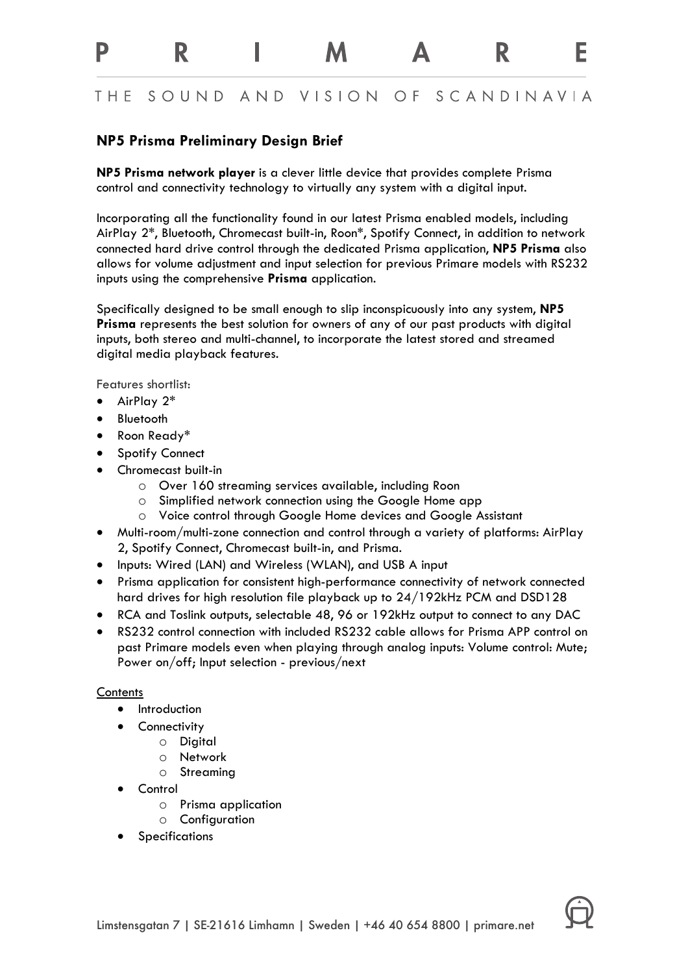#### **THF** SOUND AND VISION OF SCANDINAVIA

R

F

# **NP5 Prisma Preliminary Design Brief**

R

**NP5 Prisma network player** is a clever little device that provides complete Prisma control and connectivity technology to virtually any system with a digital input.

Incorporating all the functionality found in our latest Prisma enabled models, including AirPlay 2\*, Bluetooth, Chromecast built-in, Roon\*, Spotify Connect, in addition to network connected hard drive control through the dedicated Prisma application, **NP5 Prisma** also allows for volume adjustment and input selection for previous Primare models with RS232 inputs using the comprehensive **Prisma** application.

Specifically designed to be small enough to slip inconspicuously into any system, **NP5 Prisma** represents the best solution for owners of any of our past products with digital inputs, both stereo and multi-channel, to incorporate the latest stored and streamed digital media playback features.

Features shortlist:

• AirPlay 2\*

p

- Bluetooth
- Roon Ready\*
- **Spotify Connect**
- Chromecast built-in
	- o Over 160 streaming services available, including Roon
	- o Simplified network connection using the Google Home app
	- o Voice control through Google Home devices and Google Assistant
- Multi-room/multi-zone connection and control through a variety of platforms: AirPlay 2, Spotify Connect, Chromecast built-in, and Prisma.
- Inputs: Wired (LAN) and Wireless (WLAN), and USB A input
- Prisma application for consistent high-performance connectivity of network connected hard drives for high resolution file playback up to 24/192kHz PCM and DSD128
- RCA and Toslink outputs, selectable 48, 96 or 192kHz output to connect to any DAC
- RS232 control connection with included RS232 cable allows for Prisma APP control on past Primare models even when playing through analog inputs: Volume control: Mute; Power on/off; Input selection - previous/next

#### **Contents**

- Introduction
- Connectivity
	- o Digital
		- o Network
		- o Streaming
- Control
	- o Prisma application
	- o Configuration
- **Specifications**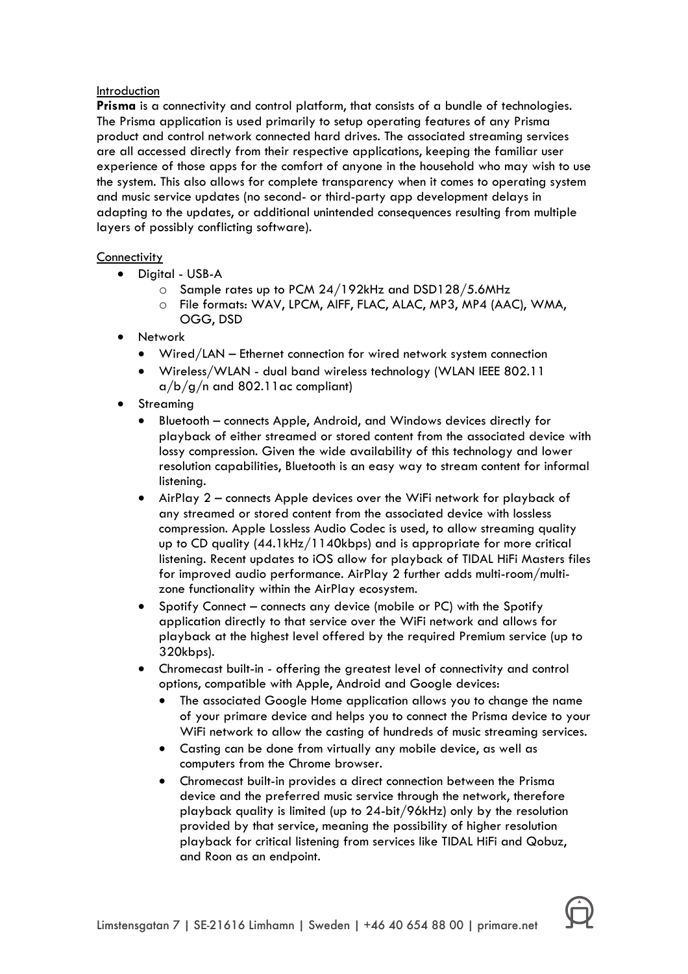### Introduction

**Prisma** is a connectivity and control platform, that consists of a bundle of technologies. The Prisma application is used primarily to setup operating features of any Prisma product and control network connected hard drives. The associated streaming services are all accessed directly from their respective applications, keeping the familiar user experience of those apps for the comfort of anyone in the household who may wish to use the system. This also allows for complete transparency when it comes to operating system and music service updates (no second- or third-party app development delays in adapting to the updates, or additional unintended consequences resulting from multiple layers of possibly conflicting software).

## **Connectivity**

- Digital USB-A
	- o Sample rates up to PCM 24/192kHz and DSD128/5.6MHz
	- o File formats: WAV, LPCM, AIFF, FLAC, ALAC, MP3, MP4 (AAC), WMA, OGG, DSD
- Network
	- Wired/LAN Ethernet connection for wired network system connection
	- Wireless/WLAN dual band wireless technology (WLAN IEEE 802.11  $a/b/g/n$  and 802.11 ac compliant)
- **Streaming** 
	- Bluetooth connects Apple, Android, and Windows devices directly for playback of either streamed or stored content from the associated device with lossy compression. Given the wide availability of this technology and lower resolution capabilities, Bluetooth is an easy way to stream content for informal listening.
	- AirPlay 2 connects Apple devices over the WiFi network for playback of any streamed or stored content from the associated device with lossless compression. Apple Lossless Audio Codec is used, to allow streaming quality up to CD quality (44.1kHz/1140kbps) and is appropriate for more critical listening. Recent updates to iOS allow for playback of TIDAL HiFi Masters files for improved audio performance. AirPlay 2 further adds multi-room/multizone functionality within the AirPlay ecosystem.
	- Spotify Connect connects any device (mobile or PC) with the Spotify application directly to that service over the WiFi network and allows for playback at the highest level offered by the required Premium service (up to 320kbps).
	- Chromecast built-in offering the greatest level of connectivity and control options, compatible with Apple, Android and Google devices:
		- The associated Google Home application allows you to change the name of your primare device and helps you to connect the Prisma device to your WiFi network to allow the casting of hundreds of music streaming services.
		- Casting can be done from virtually any mobile device, as well as computers from the Chrome browser.
		- Chromecast built-in provides a direct connection between the Prisma device and the preferred music service through the network, therefore playback quality is limited (up to 24-bit/96kHz) only by the resolution provided by that service, meaning the possibility of higher resolution playback for critical listening from services like TIDAL HiFi and Qobuz, and Roon as an endpoint.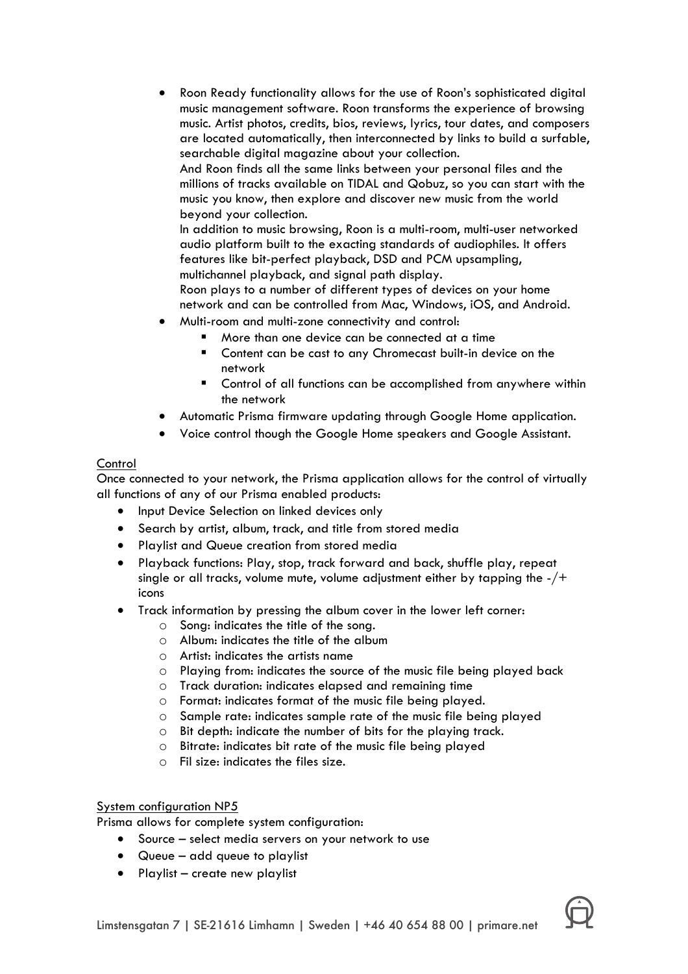• Roon Ready functionality allows for the use of Roon's sophisticated digital music management software. Roon transforms the experience of browsing music. Artist photos, credits, bios, reviews, lyrics, tour dates, and composers are located automatically, then interconnected by links to build a surfable, searchable digital magazine about your collection.

And Roon finds all the same links between your personal files and the millions of tracks available on TIDAL and Qobuz, so you can start with the music you know, then explore and discover new music from the world beyond your collection.

In addition to music browsing, Roon is a multi-room, multi-user networked audio platform built to the exacting standards of audiophiles. It offers features like bit-perfect playback, DSD and PCM upsampling, multichannel playback, and signal path display.

Roon plays to a number of different types of devices on your home network and can be controlled from Mac, Windows, iOS, and Android.

- Multi-room and multi-zone connectivity and control:
	- More than one device can be connected at a time
	- Content can be cast to any Chromecast built-in device on the network
	- Control of all functions can be accomplished from anywhere within the network
- Automatic Prisma firmware updating through Google Home application.
- Voice control though the Google Home speakers and Google Assistant.

#### **Control**

Once connected to your network, the Prisma application allows for the control of virtually all functions of any of our Prisma enabled products:

- Input Device Selection on linked devices only
- Search by artist, album, track, and title from stored media
- Playlist and Queue creation from stored media
- Playback functions: Play, stop, track forward and back, shuffle play, repeat single or all tracks, volume mute, volume adjustment either by tapping the  $-/+$ icons
- Track information by pressing the album cover in the lower left corner:
	- o Song: indicates the title of the song.
	- o Album: indicates the title of the album
	- o Artist: indicates the artists name
	- o Playing from: indicates the source of the music file being played back
	- o Track duration: indicates elapsed and remaining time
	- o Format: indicates format of the music file being played.
	- o Sample rate: indicates sample rate of the music file being played
	- o Bit depth: indicate the number of bits for the playing track.
	- o Bitrate: indicates bit rate of the music file being played
	- o Fil size: indicates the files size.

#### System configuration NP5

Prisma allows for complete system configuration:

- Source select media servers on your network to use
- Queue add queue to playlist
- Playlist create new playlist

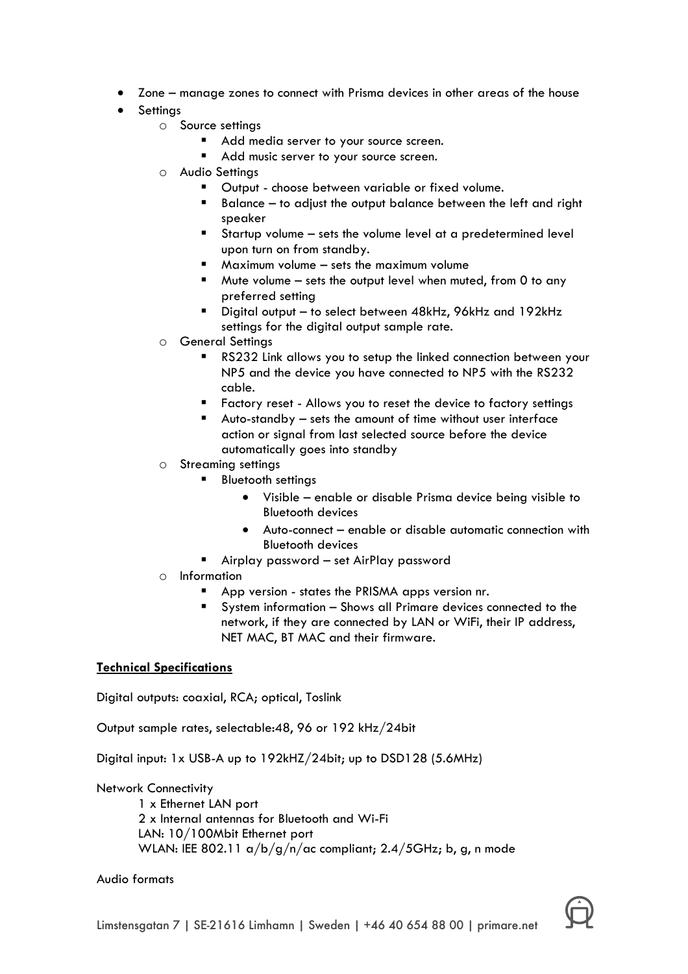- Zone manage zones to connect with Prisma devices in other areas of the house
- **Settings** 
	- o Source settings
		- Add media server to your source screen.
		- Add music server to your source screen.
	- o Audio Settings
		- § Output choose between variable or fixed volume.
		- Balance to adjust the output balance between the left and right speaker
		- § Startup volume sets the volume level at a predetermined level upon turn on from standby.
		- $\blacksquare$  Maximum volume sets the maximum volume
		- Mute volume sets the output level when muted, from 0 to any preferred setting
		- § Digital output to select between 48kHz, 96kHz and 192kHz settings for the digital output sample rate.
	- o General Settings
		- RS232 Link allows you to setup the linked connection between your NP5 and the device you have connected to NP5 with the RS232 cable.
		- Factory reset Allows you to reset the device to factory settings
		- § Auto-standby sets the amount of time without user interface action or signal from last selected source before the device automatically goes into standby
	- o Streaming settings
		- § Bluetooth settings
			- Visible enable or disable Prisma device being visible to Bluetooth devices
			- Auto-connect enable or disable automatic connection with Bluetooth devices
		- Airplay password set AirPlay password
	- o Information
		- App version states the PRISMA apps version nr.
		- § System information Shows all Primare devices connected to the network, if they are connected by LAN or WiFi, their IP address, NET MAC, BT MAC and their firmware.

# **Technical Specifications**

Digital outputs: coaxial, RCA; optical, Toslink

Output sample rates, selectable:48, 96 or 192 kHz/24bit

Digital input: 1x USB-A up to 192kHZ/24bit; up to DSD128 (5.6MHz)

Network Connectivity

1 x Ethernet LAN port 2 x Internal antennas for Bluetooth and Wi-Fi LAN: 10/100Mbit Ethernet port WLAN: IEE 802.11  $\alpha/b/g/n/\alpha c$  compliant; 2.4/5GHz; b, g, n mode

#### Audio formats